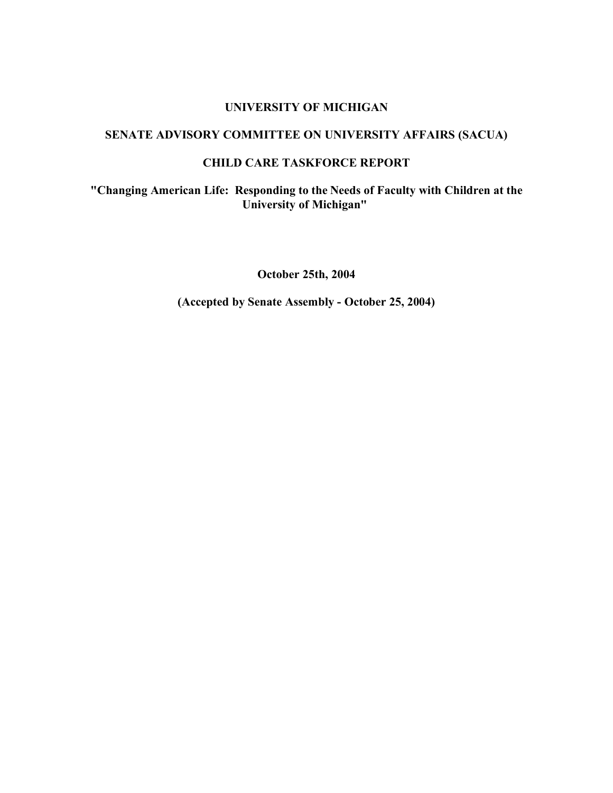### **UNIVERSITY OF MICHIGAN**

# **SENATE ADVISORY COMMITTEE ON UNIVERSITY AFFAIRS (SACUA)**

# **CHILD CARE TASKFORCE REPORT**

**"Changing American Life: Responding to the Needs of Faculty with Children at the University of Michigan"**

**October 25th, 2004**

**(Accepted by Senate Assembly - October 25, 2004)**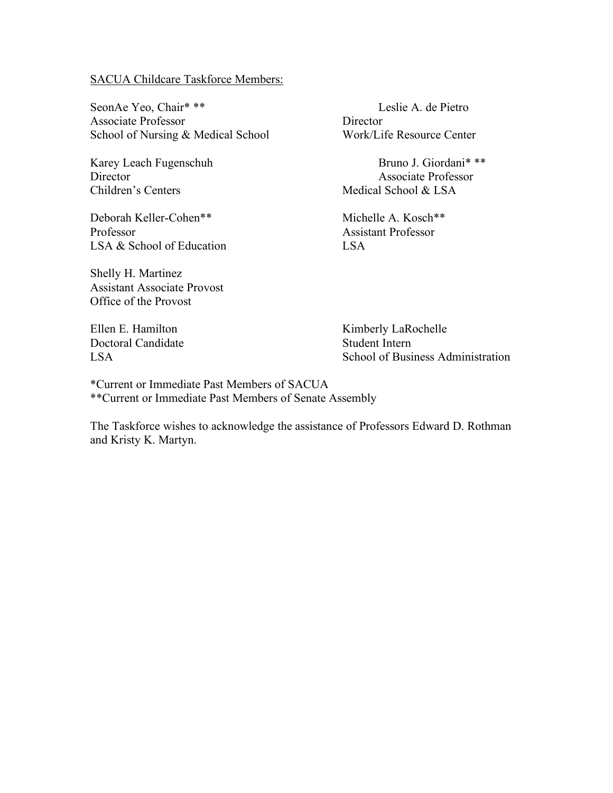#### SACUA Childcare Taskforce Members:

SeonAe Yeo, Chair\* \*\* Leslie A. de Pietro Associate Professor Director School of Nursing & Medical School Work/Life Resource Center

Children's Centers Medical School & LSA

Deborah Keller-Cohen\*\* Michelle A. Kosch\*\* Professor Assistant Professor LSA & School of Education LSA

Shelly H. Martinez Assistant Associate Provost Office of the Provost

Doctoral Candidate Student Intern

Karey Leach Fugenschuh Bruno J. Giordani\* \*\* Director Associate Professor

Ellen E. Hamilton Kimberly LaRochelle LSA School of Business Administration

\*Current or Immediate Past Members of SACUA \*\*Current or Immediate Past Members of Senate Assembly

The Taskforce wishes to acknowledge the assistance of Professors Edward D. Rothman and Kristy K. Martyn.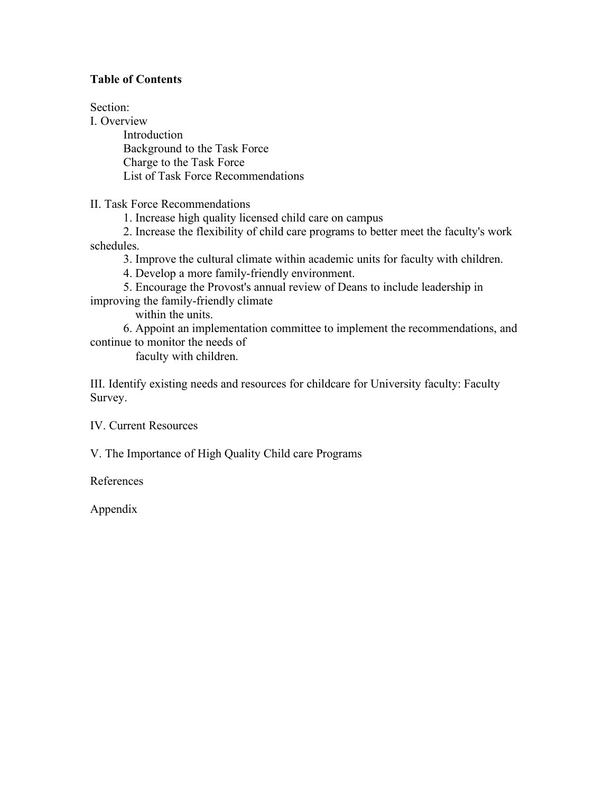# **Table of Contents**

Section:

I. Overview Introduction Background to the Task Force Charge to the Task Force List of Task Force Recommendations

II. Task Force Recommendations

1. Increase high quality licensed child care on campus

 2. Increase the flexibility of child care programs to better meet the faculty's work schedules.

3. Improve the cultural climate within academic units for faculty with children.

4. Develop a more family-friendly environment.

 5. Encourage the Provost's annual review of Deans to include leadership in improving the family-friendly climate

within the units.

 6. Appoint an implementation committee to implement the recommendations, and continue to monitor the needs of

faculty with children.

III. Identify existing needs and resources for childcare for University faculty: Faculty Survey.

IV. Current Resources

V. The Importance of High Quality Child care Programs

References

Appendix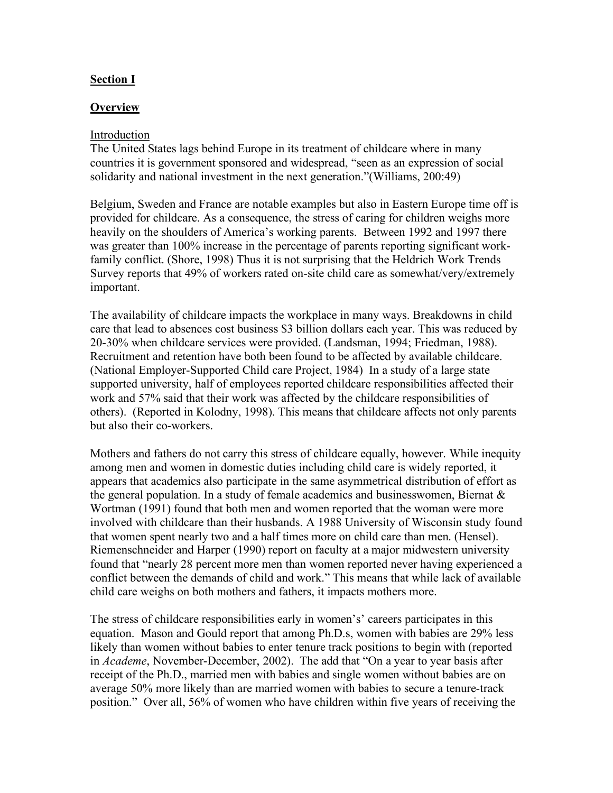# **Section I**

### **Overview**

#### Introduction

The United States lags behind Europe in its treatment of childcare where in many countries it is government sponsored and widespread, "seen as an expression of social solidarity and national investment in the next generation."(Williams, 200:49)

Belgium, Sweden and France are notable examples but also in Eastern Europe time off is provided for childcare. As a consequence, the stress of caring for children weighs more heavily on the shoulders of America's working parents. Between 1992 and 1997 there was greater than 100% increase in the percentage of parents reporting significant workfamily conflict. (Shore, 1998) Thus it is not surprising that the Heldrich Work Trends Survey reports that 49% of workers rated on-site child care as somewhat/very/extremely important.

The availability of childcare impacts the workplace in many ways. Breakdowns in child care that lead to absences cost business \$3 billion dollars each year. This was reduced by 20-30% when childcare services were provided. (Landsman, 1994; Friedman, 1988). Recruitment and retention have both been found to be affected by available childcare. (National Employer-Supported Child care Project, 1984) In a study of a large state supported university, half of employees reported childcare responsibilities affected their work and 57% said that their work was affected by the childcare responsibilities of others). (Reported in Kolodny, 1998). This means that childcare affects not only parents but also their co-workers.

Mothers and fathers do not carry this stress of childcare equally, however. While inequity among men and women in domestic duties including child care is widely reported, it appears that academics also participate in the same asymmetrical distribution of effort as the general population. In a study of female academics and businesswomen, Biernat  $\&$ Wortman (1991) found that both men and women reported that the woman were more involved with childcare than their husbands. A 1988 University of Wisconsin study found that women spent nearly two and a half times more on child care than men. (Hensel). Riemenschneider and Harper (1990) report on faculty at a major midwestern university found that "nearly 28 percent more men than women reported never having experienced a conflict between the demands of child and work." This means that while lack of available child care weighs on both mothers and fathers, it impacts mothers more.

The stress of childcare responsibilities early in women's' careers participates in this equation. Mason and Gould report that among Ph.D.s, women with babies are 29% less likely than women without babies to enter tenure track positions to begin with (reported in *Academe*, November-December, 2002). The add that "On a year to year basis after receipt of the Ph.D., married men with babies and single women without babies are on average 50% more likely than are married women with babies to secure a tenure-track position." Over all, 56% of women who have children within five years of receiving the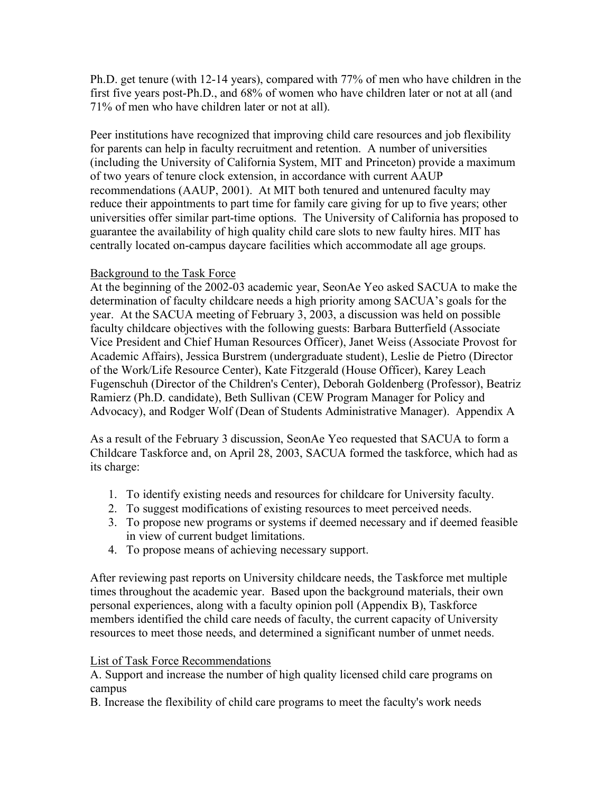Ph.D. get tenure (with 12-14 years), compared with 77% of men who have children in the first five years post-Ph.D., and 68% of women who have children later or not at all (and 71% of men who have children later or not at all).

Peer institutions have recognized that improving child care resources and job flexibility for parents can help in faculty recruitment and retention. A number of universities (including the University of California System, MIT and Princeton) provide a maximum of two years of tenure clock extension, in accordance with current AAUP recommendations (AAUP, 2001). At MIT both tenured and untenured faculty may reduce their appointments to part time for family care giving for up to five years; other universities offer similar part-time options. The University of California has proposed to guarantee the availability of high quality child care slots to new faulty hires. MIT has centrally located on-campus daycare facilities which accommodate all age groups.

#### Background to the Task Force

At the beginning of the 2002-03 academic year, SeonAe Yeo asked SACUA to make the determination of faculty childcare needs a high priority among SACUA's goals for the year. At the SACUA meeting of February 3, 2003, a discussion was held on possible faculty childcare objectives with the following guests: Barbara Butterfield (Associate Vice President and Chief Human Resources Officer), Janet Weiss (Associate Provost for Academic Affairs), Jessica Burstrem (undergraduate student), Leslie de Pietro (Director of the Work/Life Resource Center), Kate Fitzgerald (House Officer), Karey Leach Fugenschuh (Director of the Children's Center), Deborah Goldenberg (Professor), Beatriz Ramierz (Ph.D. candidate), Beth Sullivan (CEW Program Manager for Policy and Advocacy), and Rodger Wolf (Dean of Students Administrative Manager). Appendix A

As a result of the February 3 discussion, SeonAe Yeo requested that SACUA to form a Childcare Taskforce and, on April 28, 2003, SACUA formed the taskforce, which had as its charge:

- 1. To identify existing needs and resources for childcare for University faculty.
- 2. To suggest modifications of existing resources to meet perceived needs.
- 3. To propose new programs or systems if deemed necessary and if deemed feasible in view of current budget limitations.
- 4. To propose means of achieving necessary support.

After reviewing past reports on University childcare needs, the Taskforce met multiple times throughout the academic year. Based upon the background materials, their own personal experiences, along with a faculty opinion poll (Appendix B), Taskforce members identified the child care needs of faculty, the current capacity of University resources to meet those needs, and determined a significant number of unmet needs.

# List of Task Force Recommendations

A. Support and increase the number of high quality licensed child care programs on campus

B. Increase the flexibility of child care programs to meet the faculty's work needs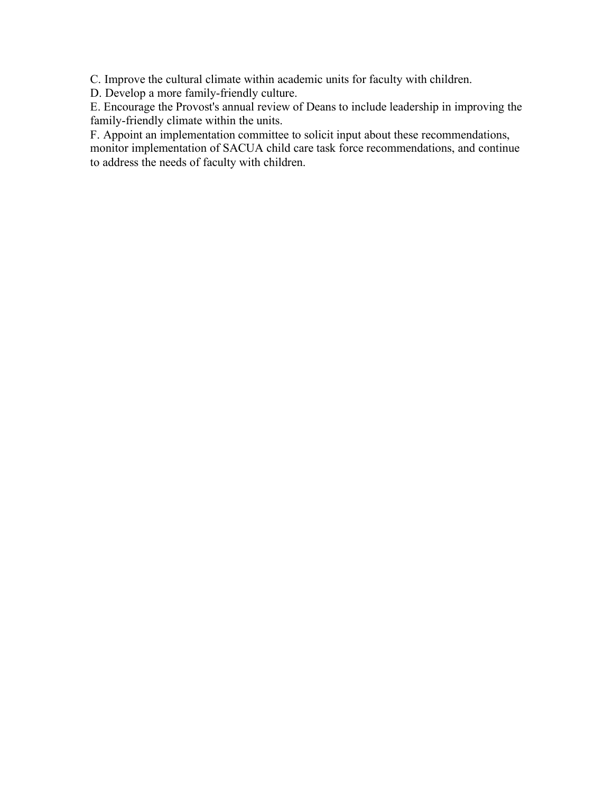C. Improve the cultural climate within academic units for faculty with children.

D. Develop a more family-friendly culture.

E. Encourage the Provost's annual review of Deans to include leadership in improving the family-friendly climate within the units.

F. Appoint an implementation committee to solicit input about these recommendations,

monitor implementation of SACUA child care task force recommendations, and continue to address the needs of faculty with children.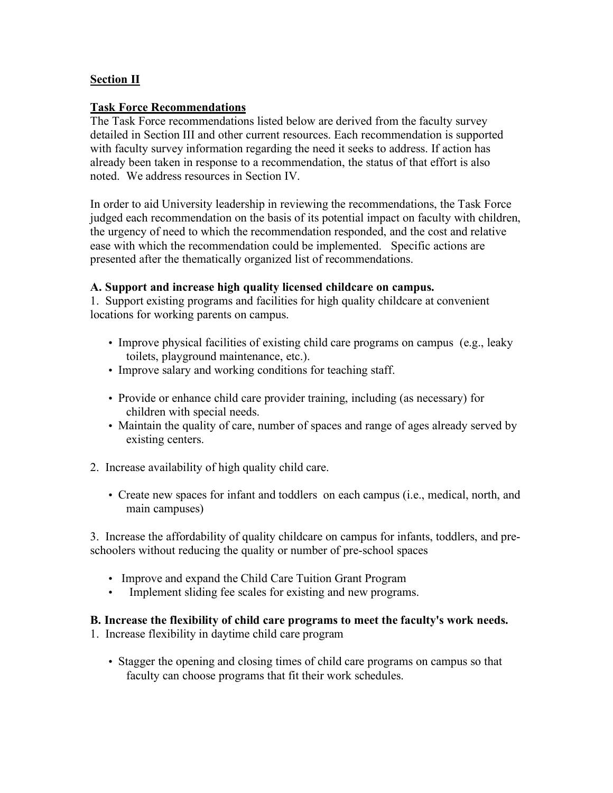# **Section II**

### **Task Force Recommendations**

The Task Force recommendations listed below are derived from the faculty survey detailed in Section III and other current resources. Each recommendation is supported with faculty survey information regarding the need it seeks to address. If action has already been taken in response to a recommendation, the status of that effort is also noted. We address resources in Section IV.

In order to aid University leadership in reviewing the recommendations, the Task Force judged each recommendation on the basis of its potential impact on faculty with children, the urgency of need to which the recommendation responded, and the cost and relative ease with which the recommendation could be implemented. Specific actions are presented after the thematically organized list of recommendations.

#### **A. Support and increase high quality licensed childcare on campus.**

1. Support existing programs and facilities for high quality childcare at convenient locations for working parents on campus.

- Improve physical facilities of existing child care programs on campus (e.g., leaky toilets, playground maintenance, etc.).
- Improve salary and working conditions for teaching staff.
- Provide or enhance child care provider training, including (as necessary) for children with special needs.
- Maintain the quality of care, number of spaces and range of ages already served by existing centers.
- 2. Increase availability of high quality child care.
	- Create new spaces for infant and toddlers on each campus (i.e., medical, north, and main campuses)

3. Increase the affordability of quality childcare on campus for infants, toddlers, and preschoolers without reducing the quality or number of pre-school spaces

- Improve and expand the Child Care Tuition Grant Program
- Implement sliding fee scales for existing and new programs.

# **B. Increase the flexibility of child care programs to meet the faculty's work needs.**

1. Increase flexibility in daytime child care program

• Stagger the opening and closing times of child care programs on campus so that faculty can choose programs that fit their work schedules.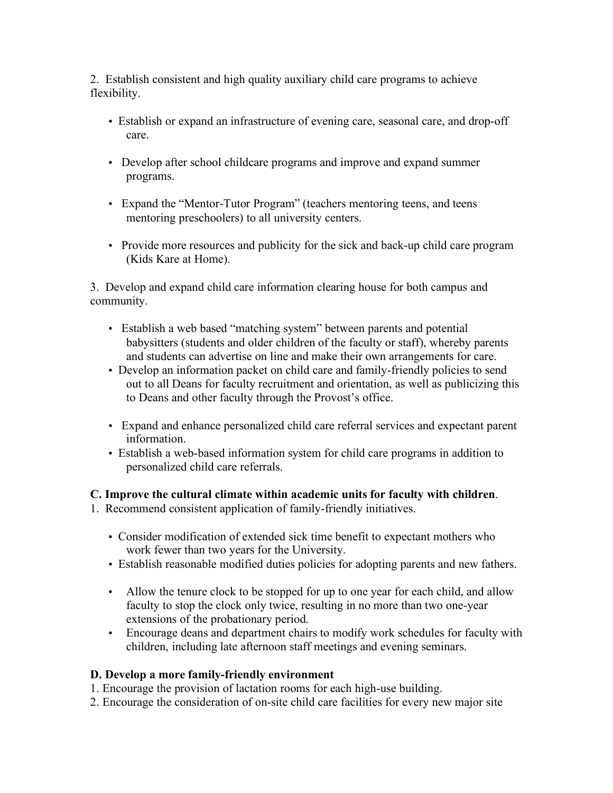2. Establish consistent and high quality auxiliary child care programs to achieve flexibility.

- Establish or expand an infrastructure of evening care, seasonal care, and drop-off care.
- Develop after school childcare programs and improve and expand summer programs.
- Expand the "Mentor-Tutor Program" (teachers mentoring teens, and teens mentoring preschoolers) to all university centers.
- Provide more resources and publicity for the sick and back-up child care program (Kids Kare at Home).

3. Develop and expand child care information clearing house for both campus and community.

- Establish a web based "matching system" between parents and potential babysitters (students and older children of the faculty or staff), whereby parents and students can advertise on line and make their own arrangements for care.
- Develop an information packet on child care and family-friendly policies to send out to all Deans for faculty recruitment and orientation, as well as publicizing this to Deans and other faculty through the Provost's office.
- Expand and enhance personalized child care referral services and expectant parent information.
- Establish a web-based information system for child care programs in addition to personalized child care referrals.

# **C. Improve the cultural climate within academic units for faculty with children**.

- 1. Recommend consistent application of family-friendly initiatives.
	- Consider modification of extended sick time benefit to expectant mothers who work fewer than two years for the University.
	- Establish reasonable modified duties policies for adopting parents and new fathers.
	- Allow the tenure clock to be stopped for up to one year for each child, and allow faculty to stop the clock only twice, resulting in no more than two one-year extensions of the probationary period.
	- Encourage deans and department chairs to modify work schedules for faculty with children, including late afternoon staff meetings and evening seminars.

# **D. Develop a more family-friendly environment**

1. Encourage the provision of lactation rooms for each high-use building.

2. Encourage the consideration of on-site child care facilities for every new major site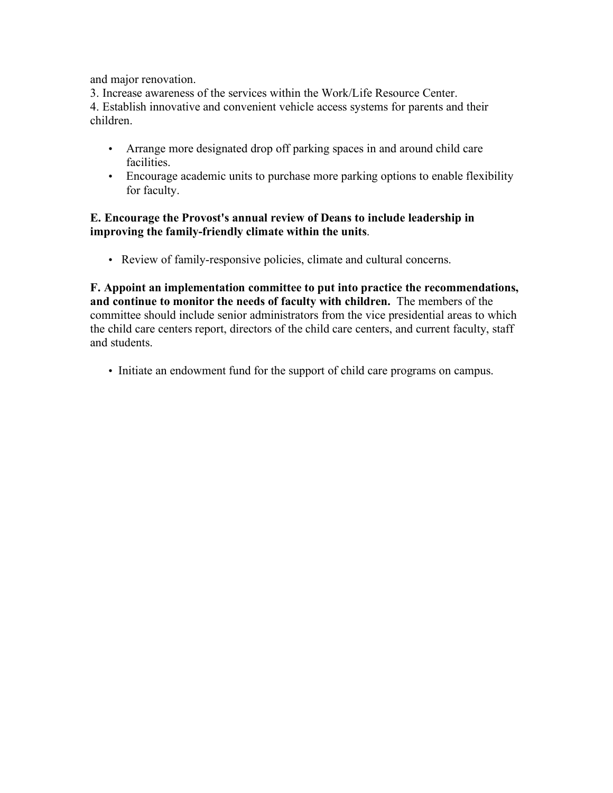and major renovation.

3. Increase awareness of the services within the Work/Life Resource Center. 4. Establish innovative and convenient vehicle access systems for parents and their children.

- Arrange more designated drop off parking spaces in and around child care facilities.
- Encourage academic units to purchase more parking options to enable flexibility for faculty.

### **E. Encourage the Provost's annual review of Deans to include leadership in improving the family-friendly climate within the units**.

• Review of family-responsive policies, climate and cultural concerns.

**F. Appoint an implementation committee to put into practice the recommendations, and continue to monitor the needs of faculty with children.** The members of the committee should include senior administrators from the vice presidential areas to which the child care centers report, directors of the child care centers, and current faculty, staff and students.

• Initiate an endowment fund for the support of child care programs on campus.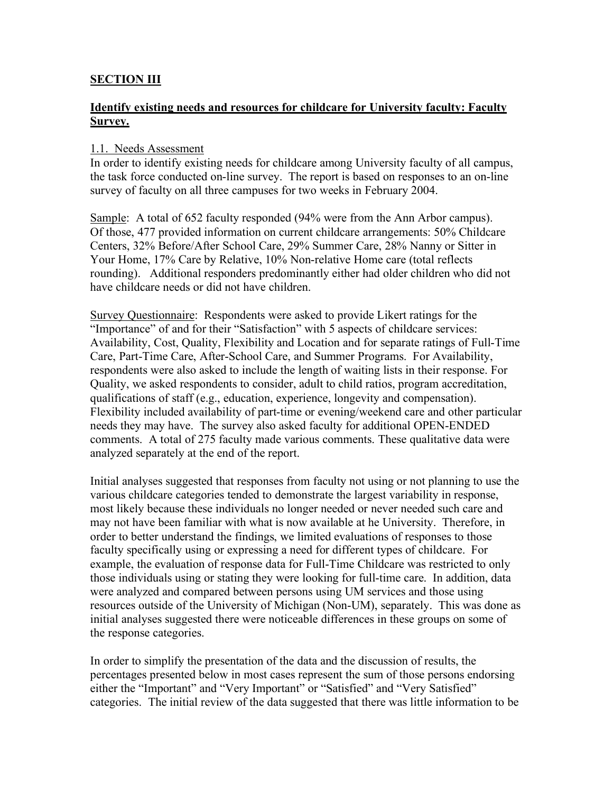# **SECTION III**

# **Identify existing needs and resources for childcare for University faculty: Faculty Survey.**

### 1.1. Needs Assessment

In order to identify existing needs for childcare among University faculty of all campus, the task force conducted on-line survey. The report is based on responses to an on-line survey of faculty on all three campuses for two weeks in February 2004.

Sample: A total of 652 faculty responded (94% were from the Ann Arbor campus). Of those, 477 provided information on current childcare arrangements: 50% Childcare Centers, 32% Before/After School Care, 29% Summer Care, 28% Nanny or Sitter in Your Home, 17% Care by Relative, 10% Non-relative Home care (total reflects rounding). Additional responders predominantly either had older children who did not have childcare needs or did not have children.

Survey Questionnaire: Respondents were asked to provide Likert ratings for the "Importance" of and for their "Satisfaction" with 5 aspects of childcare services: Availability, Cost, Quality, Flexibility and Location and for separate ratings of Full-Time Care, Part-Time Care, After-School Care, and Summer Programs. For Availability, respondents were also asked to include the length of waiting lists in their response. For Quality, we asked respondents to consider, adult to child ratios, program accreditation, qualifications of staff (e.g., education, experience, longevity and compensation). Flexibility included availability of part-time or evening/weekend care and other particular needs they may have. The survey also asked faculty for additional OPEN-ENDED comments. A total of 275 faculty made various comments. These qualitative data were analyzed separately at the end of the report.

Initial analyses suggested that responses from faculty not using or not planning to use the various childcare categories tended to demonstrate the largest variability in response, most likely because these individuals no longer needed or never needed such care and may not have been familiar with what is now available at he University. Therefore, in order to better understand the findings, we limited evaluations of responses to those faculty specifically using or expressing a need for different types of childcare. For example, the evaluation of response data for Full-Time Childcare was restricted to only those individuals using or stating they were looking for full-time care. In addition, data were analyzed and compared between persons using UM services and those using resources outside of the University of Michigan (Non-UM), separately. This was done as initial analyses suggested there were noticeable differences in these groups on some of the response categories.

In order to simplify the presentation of the data and the discussion of results, the percentages presented below in most cases represent the sum of those persons endorsing either the "Important" and "Very Important" or "Satisfied" and "Very Satisfied" categories. The initial review of the data suggested that there was little information to be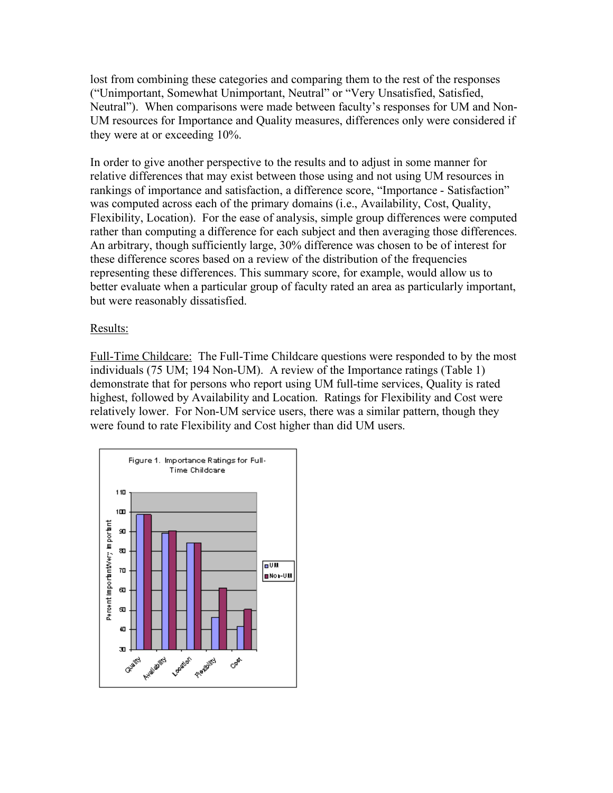lost from combining these categories and comparing them to the rest of the responses ("Unimportant, Somewhat Unimportant, Neutral" or "Very Unsatisfied, Satisfied, Neutral"). When comparisons were made between faculty's responses for UM and Non-UM resources for Importance and Quality measures, differences only were considered if they were at or exceeding 10%.

In order to give another perspective to the results and to adjust in some manner for relative differences that may exist between those using and not using UM resources in rankings of importance and satisfaction, a difference score, "Importance - Satisfaction" was computed across each of the primary domains (i.e., Availability, Cost, Quality, Flexibility, Location). For the ease of analysis, simple group differences were computed rather than computing a difference for each subject and then averaging those differences. An arbitrary, though sufficiently large, 30% difference was chosen to be of interest for these difference scores based on a review of the distribution of the frequencies representing these differences. This summary score, for example, would allow us to better evaluate when a particular group of faculty rated an area as particularly important, but were reasonably dissatisfied.

#### Results:

Full-Time Childcare: The Full-Time Childcare questions were responded to by the most individuals (75 UM; 194 Non-UM). A review of the Importance ratings (Table 1) demonstrate that for persons who report using UM full-time services, Quality is rated highest, followed by Availability and Location. Ratings for Flexibility and Cost were relatively lower. For Non-UM service users, there was a similar pattern, though they were found to rate Flexibility and Cost higher than did UM users.

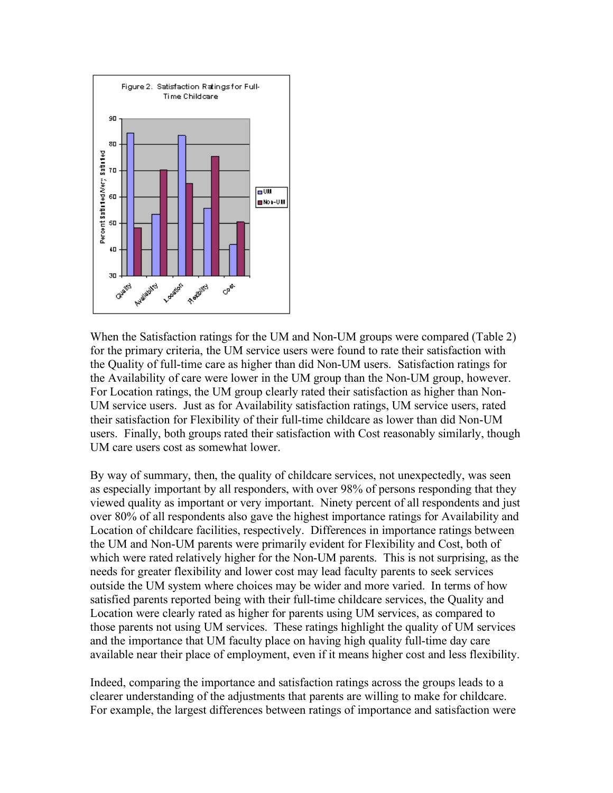

When the Satisfaction ratings for the UM and Non-UM groups were compared (Table 2) for the primary criteria, the UM service users were found to rate their satisfaction with the Quality of full-time care as higher than did Non-UM users. Satisfaction ratings for the Availability of care were lower in the UM group than the Non-UM group, however. For Location ratings, the UM group clearly rated their satisfaction as higher than Non-UM service users. Just as for Availability satisfaction ratings, UM service users, rated their satisfaction for Flexibility of their full-time childcare as lower than did Non-UM users. Finally, both groups rated their satisfaction with Cost reasonably similarly, though UM care users cost as somewhat lower.

By way of summary, then, the quality of childcare services, not unexpectedly, was seen as especially important by all responders, with over 98% of persons responding that they viewed quality as important or very important. Ninety percent of all respondents and just over 80% of all respondents also gave the highest importance ratings for Availability and Location of childcare facilities, respectively. Differences in importance ratings between the UM and Non-UM parents were primarily evident for Flexibility and Cost, both of which were rated relatively higher for the Non-UM parents. This is not surprising, as the needs for greater flexibility and lower cost may lead faculty parents to seek services outside the UM system where choices may be wider and more varied. In terms of how satisfied parents reported being with their full-time childcare services, the Quality and Location were clearly rated as higher for parents using UM services, as compared to those parents not using UM services. These ratings highlight the quality of UM services and the importance that UM faculty place on having high quality full-time day care available near their place of employment, even if it means higher cost and less flexibility.

Indeed, comparing the importance and satisfaction ratings across the groups leads to a clearer understanding of the adjustments that parents are willing to make for childcare. For example, the largest differences between ratings of importance and satisfaction were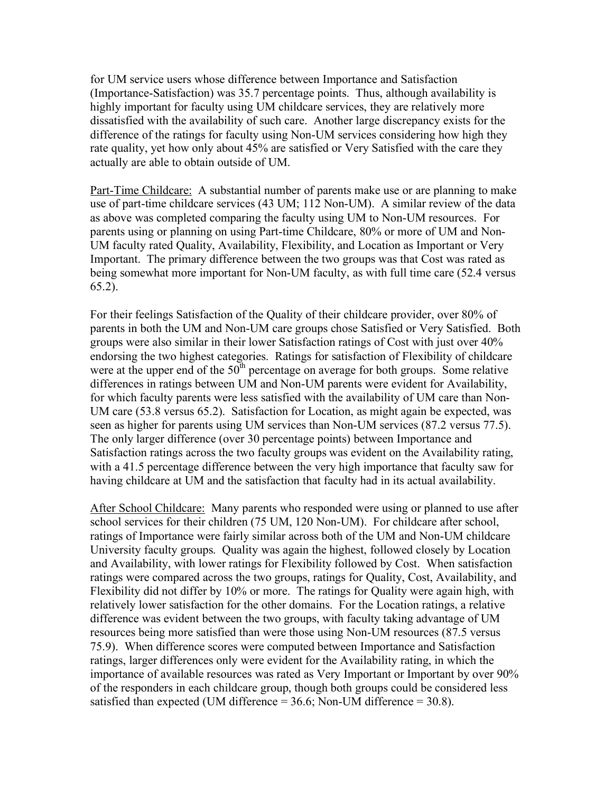for UM service users whose difference between Importance and Satisfaction (Importance-Satisfaction) was 35.7 percentage points. Thus, although availability is highly important for faculty using UM childcare services, they are relatively more dissatisfied with the availability of such care. Another large discrepancy exists for the difference of the ratings for faculty using Non-UM services considering how high they rate quality, yet how only about 45% are satisfied or Very Satisfied with the care they actually are able to obtain outside of UM.

Part-Time Childcare: A substantial number of parents make use or are planning to make use of part-time childcare services (43 UM; 112 Non-UM). A similar review of the data as above was completed comparing the faculty using UM to Non-UM resources. For parents using or planning on using Part-time Childcare, 80% or more of UM and Non-UM faculty rated Quality, Availability, Flexibility, and Location as Important or Very Important. The primary difference between the two groups was that Cost was rated as being somewhat more important for Non-UM faculty, as with full time care (52.4 versus 65.2).

For their feelings Satisfaction of the Quality of their childcare provider, over 80% of parents in both the UM and Non-UM care groups chose Satisfied or Very Satisfied. Both groups were also similar in their lower Satisfaction ratings of Cost with just over 40% endorsing the two highest categories. Ratings for satisfaction of Flexibility of childcare were at the upper end of the  $50<sup>th</sup>$  percentage on average for both groups. Some relative differences in ratings between UM and Non-UM parents were evident for Availability, for which faculty parents were less satisfied with the availability of UM care than Non-UM care (53.8 versus 65.2). Satisfaction for Location, as might again be expected, was seen as higher for parents using UM services than Non-UM services (87.2 versus 77.5). The only larger difference (over 30 percentage points) between Importance and Satisfaction ratings across the two faculty groups was evident on the Availability rating, with a 41.5 percentage difference between the very high importance that faculty saw for having childcare at UM and the satisfaction that faculty had in its actual availability.

After School Childcare: Many parents who responded were using or planned to use after school services for their children (75 UM, 120 Non-UM). For childcare after school, ratings of Importance were fairly similar across both of the UM and Non-UM childcare University faculty groups. Quality was again the highest, followed closely by Location and Availability, with lower ratings for Flexibility followed by Cost. When satisfaction ratings were compared across the two groups, ratings for Quality, Cost, Availability, and Flexibility did not differ by 10% or more. The ratings for Quality were again high, with relatively lower satisfaction for the other domains. For the Location ratings, a relative difference was evident between the two groups, with faculty taking advantage of UM resources being more satisfied than were those using Non-UM resources (87.5 versus 75.9). When difference scores were computed between Importance and Satisfaction ratings, larger differences only were evident for the Availability rating, in which the importance of available resources was rated as Very Important or Important by over 90% of the responders in each childcare group, though both groups could be considered less satisfied than expected (UM difference  $= 36.6$ ; Non-UM difference  $= 30.8$ ).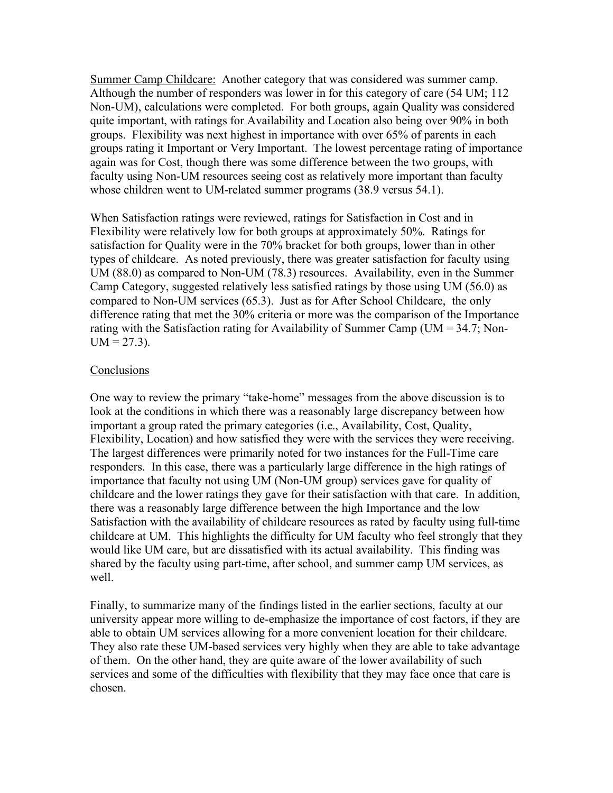Summer Camp Childcare: Another category that was considered was summer camp. Although the number of responders was lower in for this category of care (54 UM; 112 Non-UM), calculations were completed. For both groups, again Quality was considered quite important, with ratings for Availability and Location also being over 90% in both groups. Flexibility was next highest in importance with over 65% of parents in each groups rating it Important or Very Important. The lowest percentage rating of importance again was for Cost, though there was some difference between the two groups, with faculty using Non-UM resources seeing cost as relatively more important than faculty whose children went to UM-related summer programs (38.9 versus 54.1).

When Satisfaction ratings were reviewed, ratings for Satisfaction in Cost and in Flexibility were relatively low for both groups at approximately 50%. Ratings for satisfaction for Quality were in the 70% bracket for both groups, lower than in other types of childcare. As noted previously, there was greater satisfaction for faculty using UM (88.0) as compared to Non-UM (78.3) resources. Availability, even in the Summer Camp Category, suggested relatively less satisfied ratings by those using UM (56.0) as compared to Non-UM services (65.3). Just as for After School Childcare, the only difference rating that met the 30% criteria or more was the comparison of the Importance rating with the Satisfaction rating for Availability of Summer Camp (UM = 34.7; Non- $UM = 27.3$ ).

#### Conclusions

One way to review the primary "take-home" messages from the above discussion is to look at the conditions in which there was a reasonably large discrepancy between how important a group rated the primary categories (i.e., Availability, Cost, Quality, Flexibility, Location) and how satisfied they were with the services they were receiving. The largest differences were primarily noted for two instances for the Full-Time care responders. In this case, there was a particularly large difference in the high ratings of importance that faculty not using UM (Non-UM group) services gave for quality of childcare and the lower ratings they gave for their satisfaction with that care. In addition, there was a reasonably large difference between the high Importance and the low Satisfaction with the availability of childcare resources as rated by faculty using full-time childcare at UM. This highlights the difficulty for UM faculty who feel strongly that they would like UM care, but are dissatisfied with its actual availability. This finding was shared by the faculty using part-time, after school, and summer camp UM services, as well.

Finally, to summarize many of the findings listed in the earlier sections, faculty at our university appear more willing to de-emphasize the importance of cost factors, if they are able to obtain UM services allowing for a more convenient location for their childcare. They also rate these UM-based services very highly when they are able to take advantage of them. On the other hand, they are quite aware of the lower availability of such services and some of the difficulties with flexibility that they may face once that care is chosen.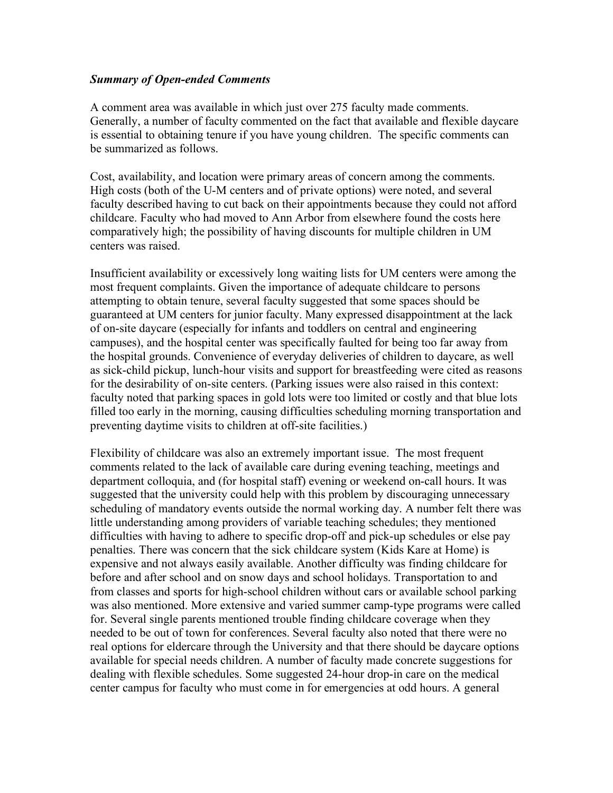#### *Summary of Open-ended Comments*

A comment area was available in which just over 275 faculty made comments. Generally, a number of faculty commented on the fact that available and flexible daycare is essential to obtaining tenure if you have young children. The specific comments can be summarized as follows.

Cost, availability, and location were primary areas of concern among the comments. High costs (both of the U-M centers and of private options) were noted, and several faculty described having to cut back on their appointments because they could not afford childcare. Faculty who had moved to Ann Arbor from elsewhere found the costs here comparatively high; the possibility of having discounts for multiple children in UM centers was raised.

Insufficient availability or excessively long waiting lists for UM centers were among the most frequent complaints. Given the importance of adequate childcare to persons attempting to obtain tenure, several faculty suggested that some spaces should be guaranteed at UM centers for junior faculty. Many expressed disappointment at the lack of on-site daycare (especially for infants and toddlers on central and engineering campuses), and the hospital center was specifically faulted for being too far away from the hospital grounds. Convenience of everyday deliveries of children to daycare, as well as sick-child pickup, lunch-hour visits and support for breastfeeding were cited as reasons for the desirability of on-site centers. (Parking issues were also raised in this context: faculty noted that parking spaces in gold lots were too limited or costly and that blue lots filled too early in the morning, causing difficulties scheduling morning transportation and preventing daytime visits to children at off-site facilities.)

Flexibility of childcare was also an extremely important issue. The most frequent comments related to the lack of available care during evening teaching, meetings and department colloquia, and (for hospital staff) evening or weekend on-call hours. It was suggested that the university could help with this problem by discouraging unnecessary scheduling of mandatory events outside the normal working day. A number felt there was little understanding among providers of variable teaching schedules; they mentioned difficulties with having to adhere to specific drop-off and pick-up schedules or else pay penalties. There was concern that the sick childcare system (Kids Kare at Home) is expensive and not always easily available. Another difficulty was finding childcare for before and after school and on snow days and school holidays. Transportation to and from classes and sports for high-school children without cars or available school parking was also mentioned. More extensive and varied summer camp-type programs were called for. Several single parents mentioned trouble finding childcare coverage when they needed to be out of town for conferences. Several faculty also noted that there were no real options for eldercare through the University and that there should be daycare options available for special needs children. A number of faculty made concrete suggestions for dealing with flexible schedules. Some suggested 24-hour drop-in care on the medical center campus for faculty who must come in for emergencies at odd hours. A general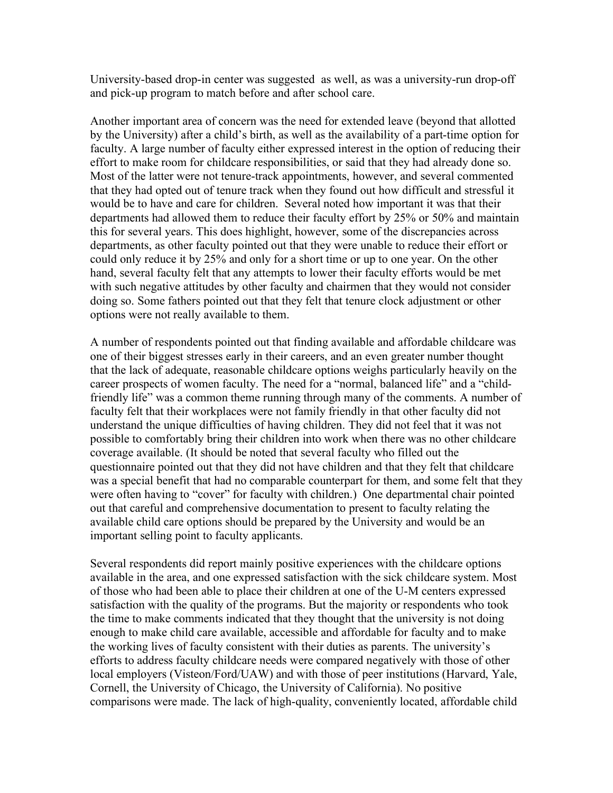University-based drop-in center was suggested as well, as was a university-run drop-off and pick-up program to match before and after school care.

Another important area of concern was the need for extended leave (beyond that allotted by the University) after a child's birth, as well as the availability of a part-time option for faculty. A large number of faculty either expressed interest in the option of reducing their effort to make room for childcare responsibilities, or said that they had already done so. Most of the latter were not tenure-track appointments, however, and several commented that they had opted out of tenure track when they found out how difficult and stressful it would be to have and care for children. Several noted how important it was that their departments had allowed them to reduce their faculty effort by 25% or 50% and maintain this for several years. This does highlight, however, some of the discrepancies across departments, as other faculty pointed out that they were unable to reduce their effort or could only reduce it by 25% and only for a short time or up to one year. On the other hand, several faculty felt that any attempts to lower their faculty efforts would be met with such negative attitudes by other faculty and chairmen that they would not consider doing so. Some fathers pointed out that they felt that tenure clock adjustment or other options were not really available to them.

A number of respondents pointed out that finding available and affordable childcare was one of their biggest stresses early in their careers, and an even greater number thought that the lack of adequate, reasonable childcare options weighs particularly heavily on the career prospects of women faculty. The need for a "normal, balanced life" and a "childfriendly life" was a common theme running through many of the comments. A number of faculty felt that their workplaces were not family friendly in that other faculty did not understand the unique difficulties of having children. They did not feel that it was not possible to comfortably bring their children into work when there was no other childcare coverage available. (It should be noted that several faculty who filled out the questionnaire pointed out that they did not have children and that they felt that childcare was a special benefit that had no comparable counterpart for them, and some felt that they were often having to "cover" for faculty with children.) One departmental chair pointed out that careful and comprehensive documentation to present to faculty relating the available child care options should be prepared by the University and would be an important selling point to faculty applicants.

Several respondents did report mainly positive experiences with the childcare options available in the area, and one expressed satisfaction with the sick childcare system. Most of those who had been able to place their children at one of the U-M centers expressed satisfaction with the quality of the programs. But the majority or respondents who took the time to make comments indicated that they thought that the university is not doing enough to make child care available, accessible and affordable for faculty and to make the working lives of faculty consistent with their duties as parents. The university's efforts to address faculty childcare needs were compared negatively with those of other local employers (Visteon/Ford/UAW) and with those of peer institutions (Harvard, Yale, Cornell, the University of Chicago, the University of California). No positive comparisons were made. The lack of high-quality, conveniently located, affordable child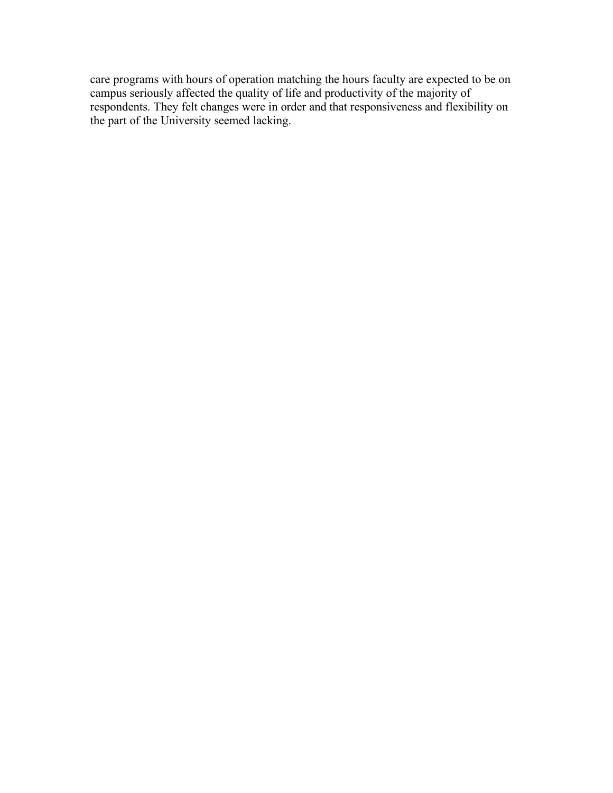care programs with hours of operation matching the hours faculty are expected to be on campus seriously affected the quality of life and productivity of the majority of respondents. They felt changes were in order and that responsiveness and flexibility on the part of the University seemed lacking.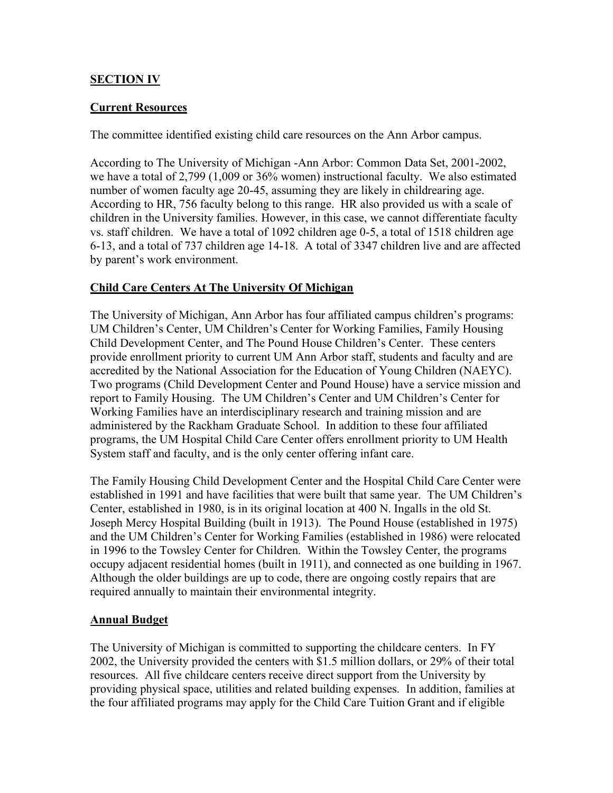# **SECTION IV**

# **Current Resources**

The committee identified existing child care resources on the Ann Arbor campus.

According to The University of Michigan -Ann Arbor: Common Data Set, 2001-2002, we have a total of 2,799 (1,009 or 36% women) instructional faculty. We also estimated number of women faculty age 20-45, assuming they are likely in childrearing age. According to HR, 756 faculty belong to this range. HR also provided us with a scale of children in the University families. However, in this case, we cannot differentiate faculty vs. staff children. We have a total of 1092 children age 0-5, a total of 1518 children age 6-13, and a total of 737 children age 14-18. A total of 3347 children live and are affected by parent's work environment.

# **Child Care Centers At The University Of Michigan**

The University of Michigan, Ann Arbor has four affiliated campus children's programs: UM Children's Center, UM Children's Center for Working Families, Family Housing Child Development Center, and The Pound House Children's Center. These centers provide enrollment priority to current UM Ann Arbor staff, students and faculty and are accredited by the National Association for the Education of Young Children (NAEYC). Two programs (Child Development Center and Pound House) have a service mission and report to Family Housing. The UM Children's Center and UM Children's Center for Working Families have an interdisciplinary research and training mission and are administered by the Rackham Graduate School. In addition to these four affiliated programs, the UM Hospital Child Care Center offers enrollment priority to UM Health System staff and faculty, and is the only center offering infant care.

The Family Housing Child Development Center and the Hospital Child Care Center were established in 1991 and have facilities that were built that same year. The UM Children's Center, established in 1980, is in its original location at 400 N. Ingalls in the old St. Joseph Mercy Hospital Building (built in 1913). The Pound House (established in 1975) and the UM Children's Center for Working Families (established in 1986) were relocated in 1996 to the Towsley Center for Children. Within the Towsley Center, the programs occupy adjacent residential homes (built in 1911), and connected as one building in 1967. Although the older buildings are up to code, there are ongoing costly repairs that are required annually to maintain their environmental integrity.

# **Annual Budget**

The University of Michigan is committed to supporting the childcare centers. In FY 2002, the University provided the centers with \$1.5 million dollars, or 29% of their total resources. All five childcare centers receive direct support from the University by providing physical space, utilities and related building expenses. In addition, families at the four affiliated programs may apply for the Child Care Tuition Grant and if eligible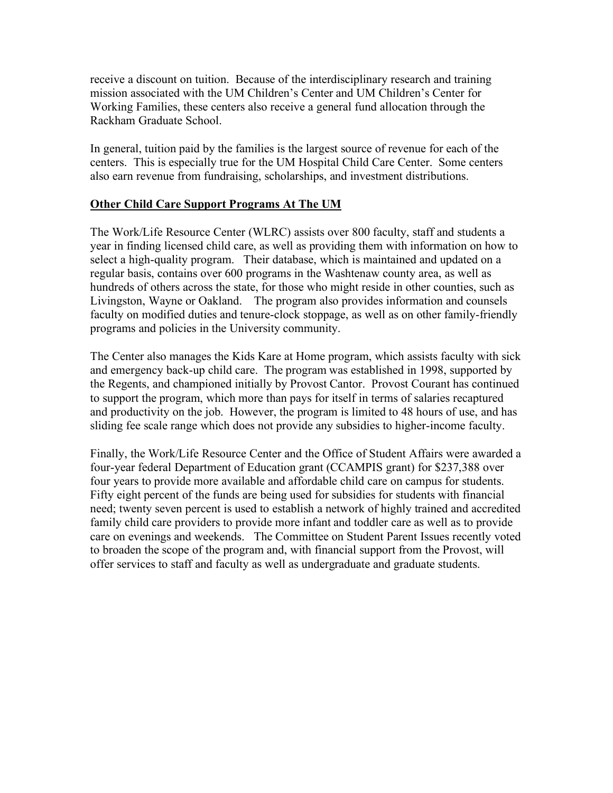receive a discount on tuition. Because of the interdisciplinary research and training mission associated with the UM Children's Center and UM Children's Center for Working Families, these centers also receive a general fund allocation through the Rackham Graduate School.

In general, tuition paid by the families is the largest source of revenue for each of the centers. This is especially true for the UM Hospital Child Care Center. Some centers also earn revenue from fundraising, scholarships, and investment distributions.

#### **Other Child Care Support Programs At The UM**

The Work/Life Resource Center (WLRC) assists over 800 faculty, staff and students a year in finding licensed child care, as well as providing them with information on how to select a high-quality program. Their database, which is maintained and updated on a regular basis, contains over 600 programs in the Washtenaw county area, as well as hundreds of others across the state, for those who might reside in other counties, such as Livingston, Wayne or Oakland. The program also provides information and counsels faculty on modified duties and tenure-clock stoppage, as well as on other family-friendly programs and policies in the University community.

The Center also manages the Kids Kare at Home program, which assists faculty with sick and emergency back-up child care. The program was established in 1998, supported by the Regents, and championed initially by Provost Cantor. Provost Courant has continued to support the program, which more than pays for itself in terms of salaries recaptured and productivity on the job. However, the program is limited to 48 hours of use, and has sliding fee scale range which does not provide any subsidies to higher-income faculty.

Finally, the Work/Life Resource Center and the Office of Student Affairs were awarded a four-year federal Department of Education grant (CCAMPIS grant) for \$237,388 over four years to provide more available and affordable child care on campus for students. Fifty eight percent of the funds are being used for subsidies for students with financial need; twenty seven percent is used to establish a network of highly trained and accredited family child care providers to provide more infant and toddler care as well as to provide care on evenings and weekends. The Committee on Student Parent Issues recently voted to broaden the scope of the program and, with financial support from the Provost, will offer services to staff and faculty as well as undergraduate and graduate students.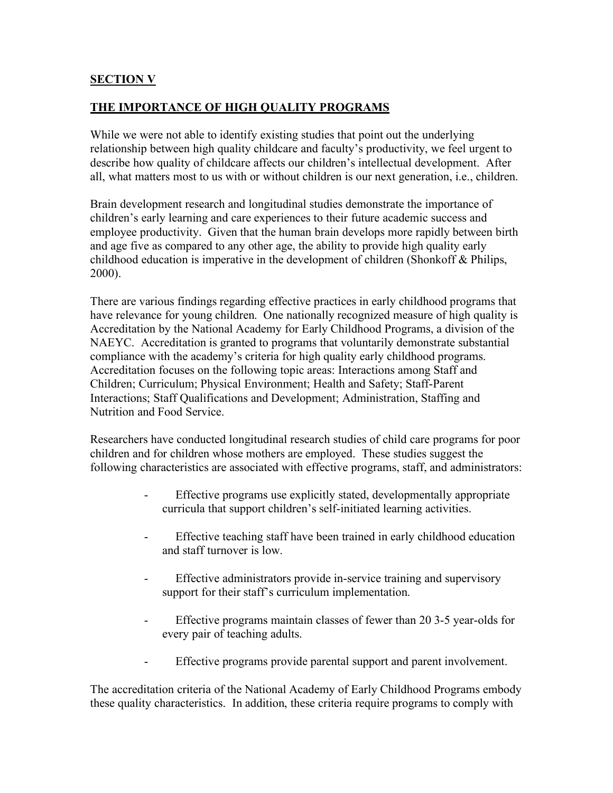# **SECTION V**

# **THE IMPORTANCE OF HIGH QUALITY PROGRAMS**

While we were not able to identify existing studies that point out the underlying relationship between high quality childcare and faculty's productivity, we feel urgent to describe how quality of childcare affects our children's intellectual development. After all, what matters most to us with or without children is our next generation, i.e., children.

Brain development research and longitudinal studies demonstrate the importance of children's early learning and care experiences to their future academic success and employee productivity. Given that the human brain develops more rapidly between birth and age five as compared to any other age, the ability to provide high quality early childhood education is imperative in the development of children (Shonkoff & Philips, 2000).

There are various findings regarding effective practices in early childhood programs that have relevance for young children. One nationally recognized measure of high quality is Accreditation by the National Academy for Early Childhood Programs, a division of the NAEYC. Accreditation is granted to programs that voluntarily demonstrate substantial compliance with the academy's criteria for high quality early childhood programs. Accreditation focuses on the following topic areas: Interactions among Staff and Children; Curriculum; Physical Environment; Health and Safety; Staff-Parent Interactions; Staff Qualifications and Development; Administration, Staffing and Nutrition and Food Service.

Researchers have conducted longitudinal research studies of child care programs for poor children and for children whose mothers are employed. These studies suggest the following characteristics are associated with effective programs, staff, and administrators:

- Effective programs use explicitly stated, developmentally appropriate curricula that support children's self-initiated learning activities.
- Effective teaching staff have been trained in early childhood education and staff turnover is low.
- Effective administrators provide in-service training and supervisory support for their staff's curriculum implementation.
- Effective programs maintain classes of fewer than 20 3-5 year-olds for every pair of teaching adults.
- Effective programs provide parental support and parent involvement.

The accreditation criteria of the National Academy of Early Childhood Programs embody these quality characteristics. In addition, these criteria require programs to comply with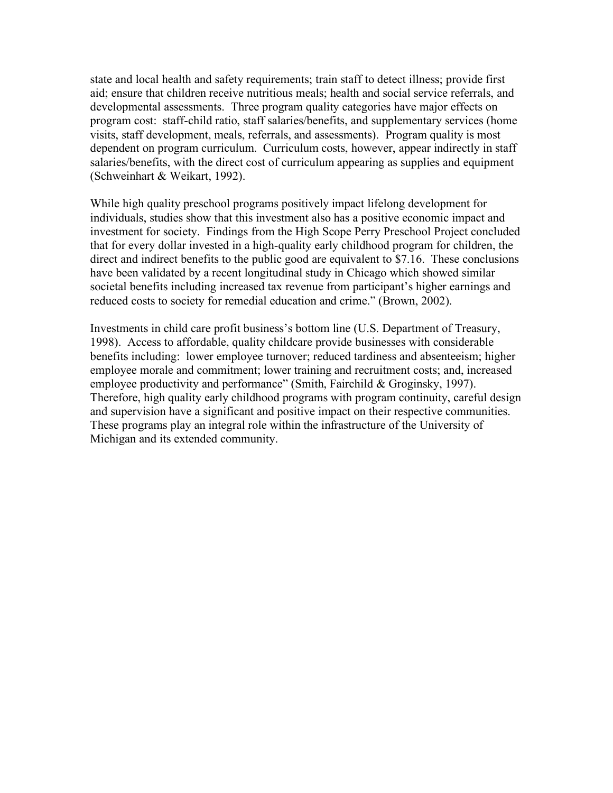state and local health and safety requirements; train staff to detect illness; provide first aid; ensure that children receive nutritious meals; health and social service referrals, and developmental assessments. Three program quality categories have major effects on program cost: staff-child ratio, staff salaries/benefits, and supplementary services (home visits, staff development, meals, referrals, and assessments). Program quality is most dependent on program curriculum. Curriculum costs, however, appear indirectly in staff salaries/benefits, with the direct cost of curriculum appearing as supplies and equipment (Schweinhart & Weikart, 1992).

While high quality preschool programs positively impact lifelong development for individuals, studies show that this investment also has a positive economic impact and investment for society. Findings from the High Scope Perry Preschool Project concluded that for every dollar invested in a high-quality early childhood program for children, the direct and indirect benefits to the public good are equivalent to \$7.16. These conclusions have been validated by a recent longitudinal study in Chicago which showed similar societal benefits including increased tax revenue from participant's higher earnings and reduced costs to society for remedial education and crime." (Brown, 2002).

Investments in child care profit business's bottom line (U.S. Department of Treasury, 1998). Access to affordable, quality childcare provide businesses with considerable benefits including: lower employee turnover; reduced tardiness and absenteeism; higher employee morale and commitment; lower training and recruitment costs; and, increased employee productivity and performance" (Smith, Fairchild & Groginsky, 1997). Therefore, high quality early childhood programs with program continuity, careful design and supervision have a significant and positive impact on their respective communities. These programs play an integral role within the infrastructure of the University of Michigan and its extended community.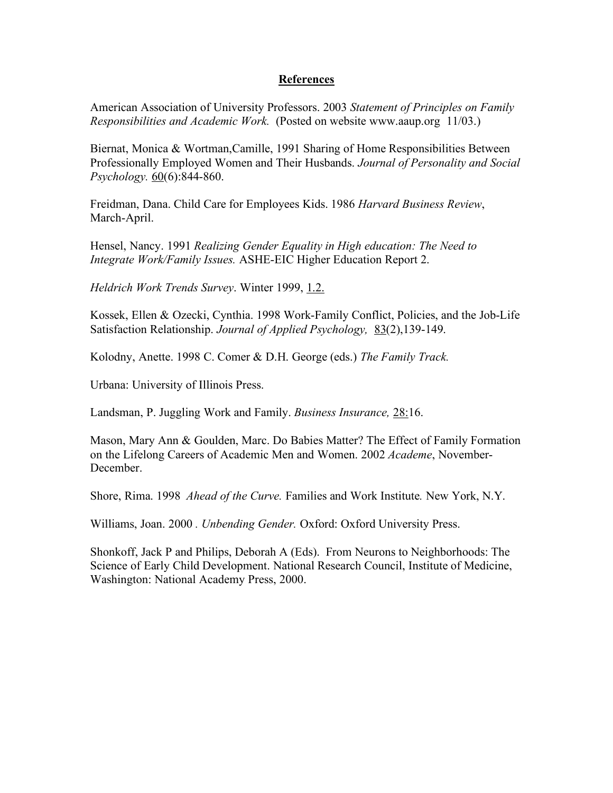#### **References**

American Association of University Professors. 2003 *Statement of Principles on Family Responsibilities and Academic Work.* (Posted on website www.aaup.org 11/03.)

Biernat, Monica & Wortman,Camille, 1991 Sharing of Home Responsibilities Between Professionally Employed Women and Their Husbands. *Journal of Personality and Social Psychology.* 60(6):844-860.

Freidman, Dana. Child Care for Employees Kids. 1986 *Harvard Business Review*, March-April.

Hensel, Nancy. 1991 *Realizing Gender Equality in High education: The Need to Integrate Work/Family Issues.* ASHE-EIC Higher Education Report 2.

*Heldrich Work Trends Survey*. Winter 1999, 1.2.

Kossek, Ellen & Ozecki, Cynthia. 1998 Work-Family Conflict, Policies, and the Job-Life Satisfaction Relationship. *Journal of Applied Psychology,* 83(2),139-149.

Kolodny, Anette. 1998 C. Comer & D.H. George (eds.) *The Family Track.* 

Urbana: University of Illinois Press.

Landsman, P. Juggling Work and Family. *Business Insurance,* 28:16.

Mason, Mary Ann & Goulden, Marc. Do Babies Matter? The Effect of Family Formation on the Lifelong Careers of Academic Men and Women. 2002 *Academe*, November-December.

Shore, Rima. 1998 *Ahead of the Curve.* Families and Work Institute*.* New York, N.Y.

Williams, Joan. 2000 *. Unbending Gender.* Oxford: Oxford University Press.

Shonkoff, Jack P and Philips, Deborah A (Eds). From Neurons to Neighborhoods: The Science of Early Child Development. National Research Council, Institute of Medicine, Washington: National Academy Press, 2000.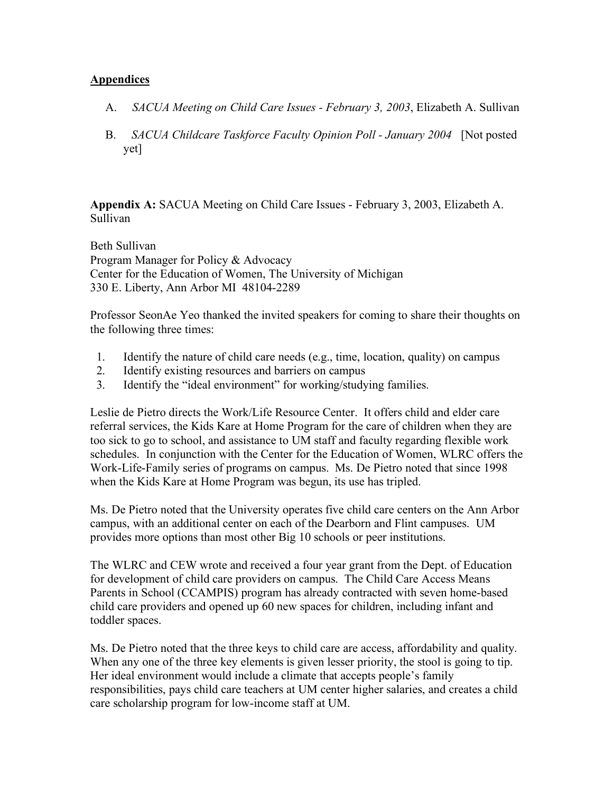### **Appendices**

- A. *SACUA Meeting on Child Care Issues February 3, 2003*, Elizabeth A. Sullivan
- B. *SACUA Childcare Taskforce Faculty Opinion Poll January 2004* [Not posted yet]

**Appendix A:** SACUA Meeting on Child Care Issues - February 3, 2003, Elizabeth A. Sullivan

Beth Sullivan Program Manager for Policy & Advocacy Center for the Education of Women, The University of Michigan 330 E. Liberty, Ann Arbor MI 48104-2289

Professor SeonAe Yeo thanked the invited speakers for coming to share their thoughts on the following three times:

- 1. Identify the nature of child care needs (e.g., time, location, quality) on campus
- 2. Identify existing resources and barriers on campus
- 3. Identify the "ideal environment" for working/studying families.

Leslie de Pietro directs the Work/Life Resource Center. It offers child and elder care referral services, the Kids Kare at Home Program for the care of children when they are too sick to go to school, and assistance to UM staff and faculty regarding flexible work schedules. In conjunction with the Center for the Education of Women, WLRC offers the Work-Life-Family series of programs on campus. Ms. De Pietro noted that since 1998 when the Kids Kare at Home Program was begun, its use has tripled.

Ms. De Pietro noted that the University operates five child care centers on the Ann Arbor campus, with an additional center on each of the Dearborn and Flint campuses. UM provides more options than most other Big 10 schools or peer institutions.

The WLRC and CEW wrote and received a four year grant from the Dept. of Education for development of child care providers on campus. The Child Care Access Means Parents in School (CCAMPIS) program has already contracted with seven home-based child care providers and opened up 60 new spaces for children, including infant and toddler spaces.

Ms. De Pietro noted that the three keys to child care are access, affordability and quality. When any one of the three key elements is given lesser priority, the stool is going to tip. Her ideal environment would include a climate that accepts people's family responsibilities, pays child care teachers at UM center higher salaries, and creates a child care scholarship program for low-income staff at UM.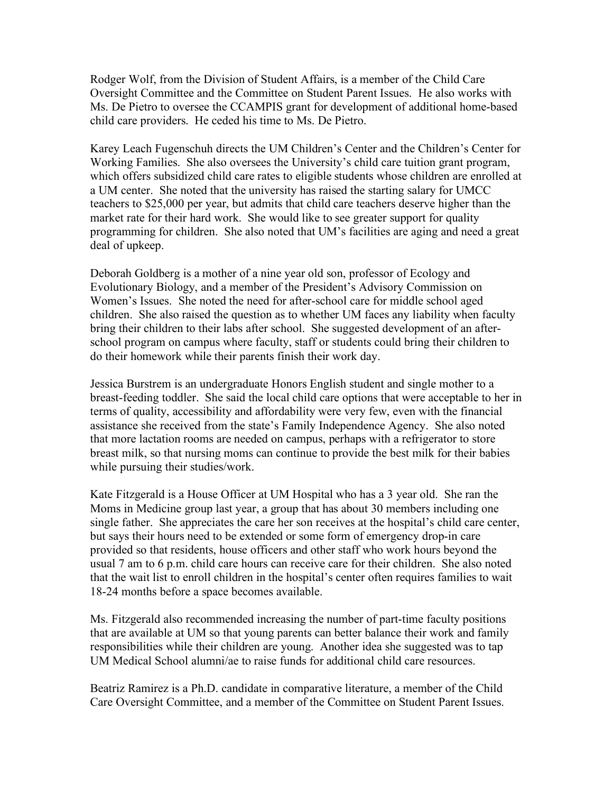Rodger Wolf, from the Division of Student Affairs, is a member of the Child Care Oversight Committee and the Committee on Student Parent Issues. He also works with Ms. De Pietro to oversee the CCAMPIS grant for development of additional home-based child care providers. He ceded his time to Ms. De Pietro.

Karey Leach Fugenschuh directs the UM Children's Center and the Children's Center for Working Families. She also oversees the University's child care tuition grant program, which offers subsidized child care rates to eligible students whose children are enrolled at a UM center. She noted that the university has raised the starting salary for UMCC teachers to \$25,000 per year, but admits that child care teachers deserve higher than the market rate for their hard work. She would like to see greater support for quality programming for children. She also noted that UM's facilities are aging and need a great deal of upkeep.

Deborah Goldberg is a mother of a nine year old son, professor of Ecology and Evolutionary Biology, and a member of the President's Advisory Commission on Women's Issues. She noted the need for after-school care for middle school aged children. She also raised the question as to whether UM faces any liability when faculty bring their children to their labs after school. She suggested development of an afterschool program on campus where faculty, staff or students could bring their children to do their homework while their parents finish their work day.

Jessica Burstrem is an undergraduate Honors English student and single mother to a breast-feeding toddler. She said the local child care options that were acceptable to her in terms of quality, accessibility and affordability were very few, even with the financial assistance she received from the state's Family Independence Agency. She also noted that more lactation rooms are needed on campus, perhaps with a refrigerator to store breast milk, so that nursing moms can continue to provide the best milk for their babies while pursuing their studies/work.

Kate Fitzgerald is a House Officer at UM Hospital who has a 3 year old. She ran the Moms in Medicine group last year, a group that has about 30 members including one single father. She appreciates the care her son receives at the hospital's child care center, but says their hours need to be extended or some form of emergency drop-in care provided so that residents, house officers and other staff who work hours beyond the usual 7 am to 6 p.m. child care hours can receive care for their children. She also noted that the wait list to enroll children in the hospital's center often requires families to wait 18-24 months before a space becomes available.

Ms. Fitzgerald also recommended increasing the number of part-time faculty positions that are available at UM so that young parents can better balance their work and family responsibilities while their children are young. Another idea she suggested was to tap UM Medical School alumni/ae to raise funds for additional child care resources.

Beatriz Ramirez is a Ph.D. candidate in comparative literature, a member of the Child Care Oversight Committee, and a member of the Committee on Student Parent Issues.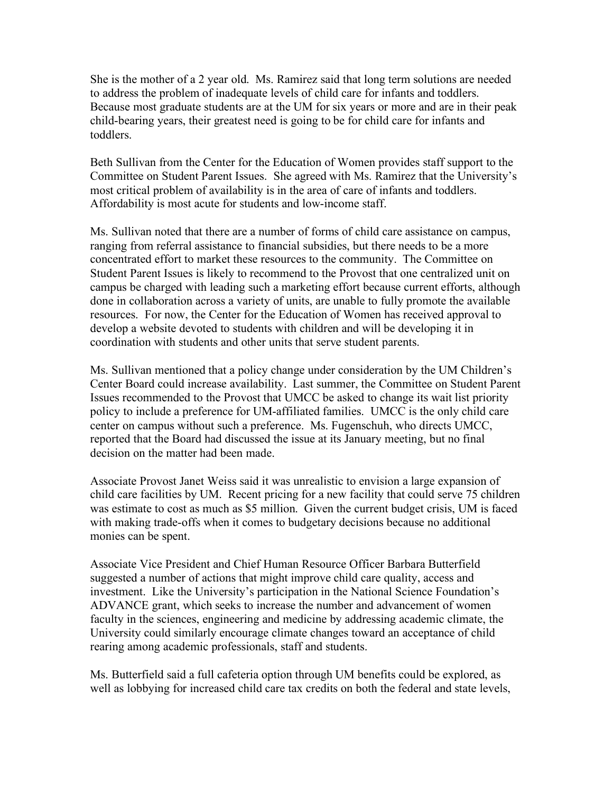She is the mother of a 2 year old. Ms. Ramirez said that long term solutions are needed to address the problem of inadequate levels of child care for infants and toddlers. Because most graduate students are at the UM for six years or more and are in their peak child-bearing years, their greatest need is going to be for child care for infants and toddlers.

Beth Sullivan from the Center for the Education of Women provides staff support to the Committee on Student Parent Issues. She agreed with Ms. Ramirez that the University's most critical problem of availability is in the area of care of infants and toddlers. Affordability is most acute for students and low-income staff.

Ms. Sullivan noted that there are a number of forms of child care assistance on campus, ranging from referral assistance to financial subsidies, but there needs to be a more concentrated effort to market these resources to the community. The Committee on Student Parent Issues is likely to recommend to the Provost that one centralized unit on campus be charged with leading such a marketing effort because current efforts, although done in collaboration across a variety of units, are unable to fully promote the available resources. For now, the Center for the Education of Women has received approval to develop a website devoted to students with children and will be developing it in coordination with students and other units that serve student parents.

Ms. Sullivan mentioned that a policy change under consideration by the UM Children's Center Board could increase availability. Last summer, the Committee on Student Parent Issues recommended to the Provost that UMCC be asked to change its wait list priority policy to include a preference for UM-affiliated families. UMCC is the only child care center on campus without such a preference. Ms. Fugenschuh, who directs UMCC, reported that the Board had discussed the issue at its January meeting, but no final decision on the matter had been made.

Associate Provost Janet Weiss said it was unrealistic to envision a large expansion of child care facilities by UM. Recent pricing for a new facility that could serve 75 children was estimate to cost as much as \$5 million. Given the current budget crisis, UM is faced with making trade-offs when it comes to budgetary decisions because no additional monies can be spent.

Associate Vice President and Chief Human Resource Officer Barbara Butterfield suggested a number of actions that might improve child care quality, access and investment. Like the University's participation in the National Science Foundation's ADVANCE grant, which seeks to increase the number and advancement of women faculty in the sciences, engineering and medicine by addressing academic climate, the University could similarly encourage climate changes toward an acceptance of child rearing among academic professionals, staff and students.

Ms. Butterfield said a full cafeteria option through UM benefits could be explored, as well as lobbying for increased child care tax credits on both the federal and state levels,